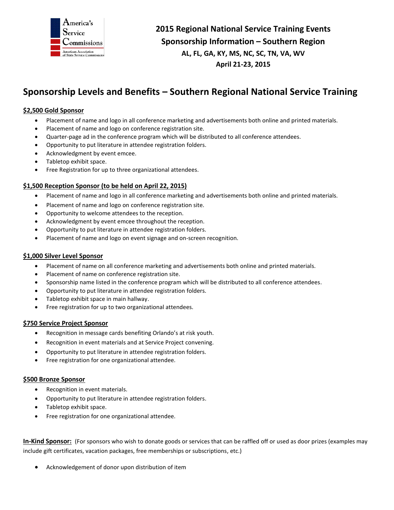

**2015 Regional National Service Training Events Sponsorship Information – Southern Region AL, FL, GA, KY, MS, NC, SC, TN, VA, WV April 21-23, 2015**

# **Sponsorship Levels and Benefits – Southern Regional National Service Training**

## **\$2,500 Gold Sponsor**

- Placement of name and logo in all conference marketing and advertisements both online and printed materials.
- Placement of name and logo on conference registration site.
- Quarter-page ad in the conference program which will be distributed to all conference attendees.
- Opportunity to put literature in attendee registration folders.
- Acknowledgment by event emcee.
- Tabletop exhibit space.
- Free Registration for up to three organizational attendees.

### **\$1,500 Reception Sponsor (to be held on April 22, 2015)**

- Placement of name and logo in all conference marketing and advertisements both online and printed materials.
- Placement of name and logo on conference registration site.
- Opportunity to welcome attendees to the reception.
- Acknowledgment by event emcee throughout the reception.
- Opportunity to put literature in attendee registration folders.
- Placement of name and logo on event signage and on-screen recognition.

#### **\$1,000 Silver Level Sponsor**

- Placement of name on all conference marketing and advertisements both online and printed materials.
- Placement of name on conference registration site.
- Sponsorship name listed in the conference program which will be distributed to all conference attendees.
- Opportunity to put literature in attendee registration folders.
- Tabletop exhibit space in main hallway.
- Free registration for up to two organizational attendees.

### **\$750 Service Project Sponsor**

- Recognition in message cards benefiting Orlando's at risk youth.
- Recognition in event materials and at Service Project convening.
- Opportunity to put literature in attendee registration folders.
- Free registration for one organizational attendee.

#### **\$500 Bronze Sponsor**

- Recognition in event materials.
- Opportunity to put literature in attendee registration folders.
- Tabletop exhibit space.
- Free registration for one organizational attendee.

**In-Kind Sponsor:** (For sponsors who wish to donate goods or services that can be raffled off or used as door prizes (examples may include gift certificates, vacation packages, free memberships or subscriptions, etc.)

Acknowledgement of donor upon distribution of item